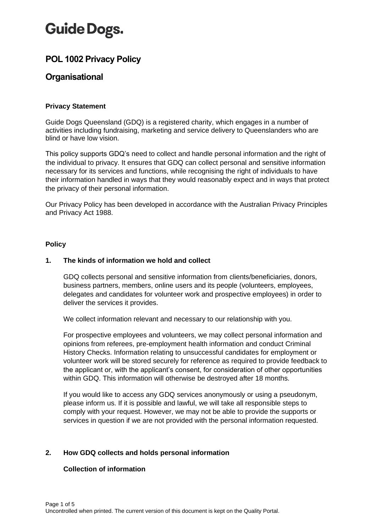# **Guide Dogs.**

# **POL 1002 Privacy Policy**

# **Organisational**

# **Privacy Statement**

Guide Dogs Queensland (GDQ) is a registered charity, which engages in a number of activities including fundraising, marketing and service delivery to Queenslanders who are blind or have low vision.

This policy supports GDQ's need to collect and handle personal information and the right of the individual to privacy. It ensures that GDQ can collect personal and sensitive information necessary for its services and functions, while recognising the right of individuals to have their information handled in ways that they would reasonably expect and in ways that protect the privacy of their personal information.

Our Privacy Policy has been developed in accordance with the Australian Privacy Principles and Privacy Act 1988.

#### **Policy**

# **1. The kinds of information we hold and collect**

GDQ collects personal and sensitive information from clients/beneficiaries, donors, business partners, members, online users and its people (volunteers, employees, delegates and candidates for volunteer work and prospective employees) in order to deliver the services it provides.

We collect information relevant and necessary to our relationship with you.

For prospective employees and volunteers, we may collect personal information and opinions from referees, pre-employment health information and conduct Criminal History Checks. Information relating to unsuccessful candidates for employment or volunteer work will be stored securely for reference as required to provide feedback to the applicant or, with the applicant's consent, for consideration of other opportunities within GDQ. This information will otherwise be destroyed after 18 months.

If you would like to access any GDQ services anonymously or using a pseudonym, please inform us. If it is possible and lawful, we will take all responsible steps to comply with your request. However, we may not be able to provide the supports or services in question if we are not provided with the personal information requested.

# **2. How GDQ collects and holds personal information**

# **Collection of information**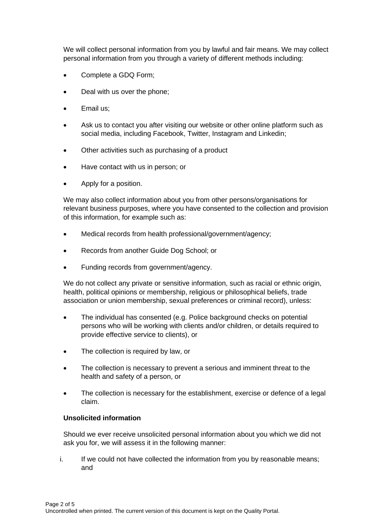We will collect personal information from you by lawful and fair means. We may collect personal information from you through a variety of different methods including:

- Complete a GDQ Form:
- Deal with us over the phone;
- Email us;
- Ask us to contact you after visiting our website or other online platform such as social media, including Facebook, Twitter, Instagram and Linkedin;
- Other activities such as purchasing of a product
- Have contact with us in person; or
- Apply for a position.

We may also collect information about you from other persons/organisations for relevant business purposes, where you have consented to the collection and provision of this information, for example such as:

- Medical records from health professional/government/agency;
- Records from another Guide Dog School; or
- Funding records from government/agency.

We do not collect any private or sensitive information, such as racial or ethnic origin, health, political opinions or membership, religious or philosophical beliefs, trade association or union membership, sexual preferences or criminal record), unless:

- The individual has consented (e.g. Police background checks on potential persons who will be working with clients and/or children, or details required to provide effective service to clients), or
- The collection is required by law, or
- The collection is necessary to prevent a serious and imminent threat to the health and safety of a person, or
- The collection is necessary for the establishment, exercise or defence of a legal claim.

# **Unsolicited information**

Should we ever receive unsolicited personal information about you which we did not ask you for, we will assess it in the following manner:

i. If we could not have collected the information from you by reasonable means; and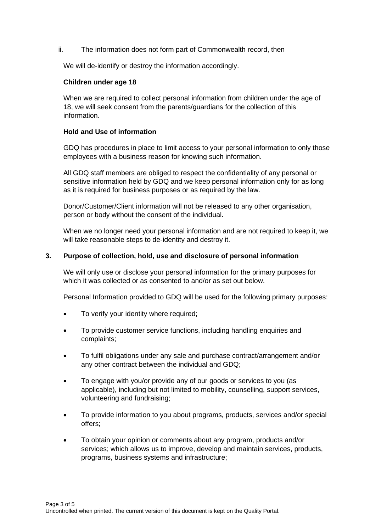ii. The information does not form part of Commonwealth record, then

We will de-identify or destroy the information accordingly.

#### **Children under age 18**

When we are required to collect personal information from children under the age of 18, we will seek consent from the parents/guardians for the collection of this information.

#### **Hold and Use of information**

GDQ has procedures in place to limit access to your personal information to only those employees with a business reason for knowing such information.

All GDQ staff members are obliged to respect the confidentiality of any personal or sensitive information held by GDQ and we keep personal information only for as long as it is required for business purposes or as required by the law.

Donor/Customer/Client information will not be released to any other organisation, person or body without the consent of the individual.

When we no longer need your personal information and are not required to keep it, we will take reasonable steps to de-identity and destroy it.

#### **3. Purpose of collection, hold, use and disclosure of personal information**

We will only use or disclose your personal information for the primary purposes for which it was collected or as consented to and/or as set out below.

Personal Information provided to GDQ will be used for the following primary purposes:

- To verify your identity where required;
- To provide customer service functions, including handling enquiries and complaints;
- To fulfil obligations under any sale and purchase contract/arrangement and/or any other contract between the individual and GDQ;
- To engage with you/or provide any of our goods or services to you (as applicable), including but not limited to mobility, counselling, support services, volunteering and fundraising;
- To provide information to you about programs, products, services and/or special offers;
- To obtain your opinion or comments about any program, products and/or services; which allows us to improve, develop and maintain services, products, programs, business systems and infrastructure;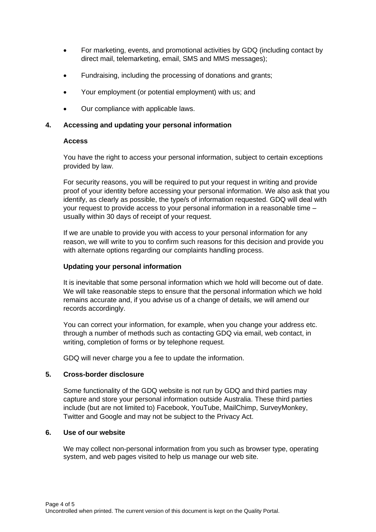- For marketing, events, and promotional activities by GDQ (including contact by direct mail, telemarketing, email, SMS and MMS messages);
- Fundraising, including the processing of donations and grants;
- Your employment (or potential employment) with us; and
- Our compliance with applicable laws.

# **4. Accessing and updating your personal information**

#### **Access**

You have the right to access your personal information, subject to certain exceptions provided by law.

For security reasons, you will be required to put your request in writing and provide proof of your identity before accessing your personal information. We also ask that you identify, as clearly as possible, the type/s of information requested. GDQ will deal with your request to provide access to your personal information in a reasonable time – usually within 30 days of receipt of your request.

If we are unable to provide you with access to your personal information for any reason, we will write to you to confirm such reasons for this decision and provide you with alternate options regarding our complaints handling process.

# **Updating your personal information**

It is inevitable that some personal information which we hold will become out of date. We will take reasonable steps to ensure that the personal information which we hold remains accurate and, if you advise us of a change of details, we will amend our records accordingly.

You can correct your information, for example, when you change your address etc. through a number of methods such as contacting GDQ via email, web contact, in writing, completion of forms or by telephone request.

GDQ will never charge you a fee to update the information.

# **5. Cross-border disclosure**

Some functionality of the GDQ website is not run by GDQ and third parties may capture and store your personal information outside Australia. These third parties include (but are not limited to) Facebook, YouTube, MailChimp, SurveyMonkey, Twitter and Google and may not be subject to the Privacy Act.

# **6. Use of our website**

We may collect non-personal information from you such as browser type, operating system, and web pages visited to help us manage our web site.